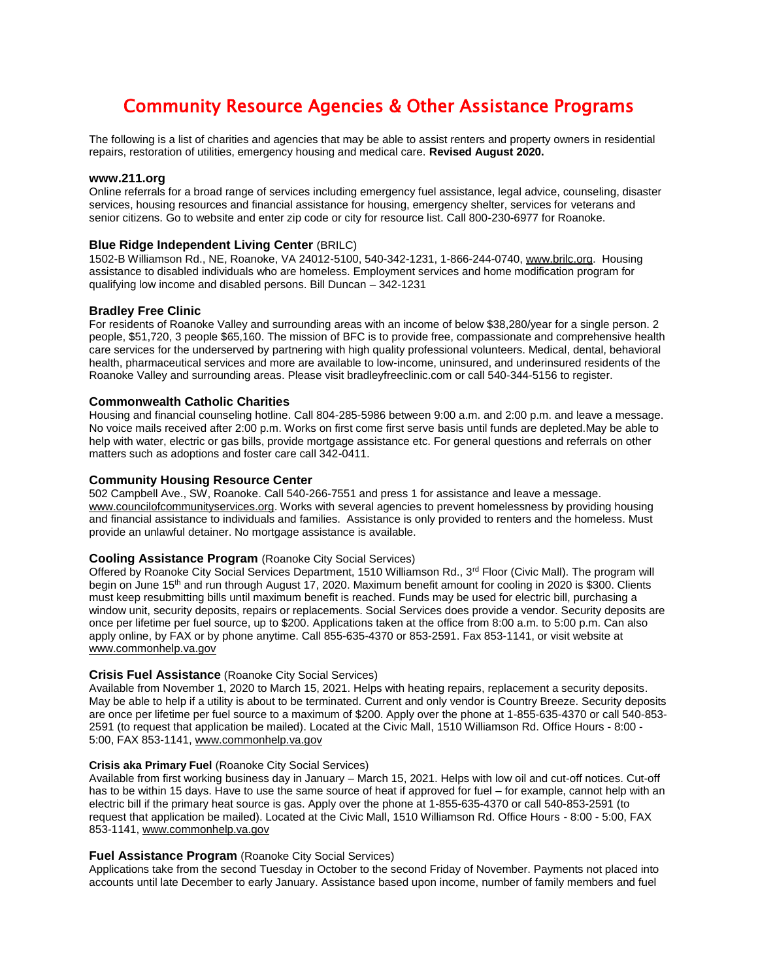# Community Resource Agencies & Other Assistance Programs

The following is a list of charities and agencies that may be able to assist renters and property owners in residential repairs, restoration of utilities, emergency housing and medical care. **Revised August 2020.**

#### **www.211.org**

Online referrals for a broad range of services including emergency fuel assistance, legal advice, counseling, disaster services, housing resources and financial assistance for housing, emergency shelter, services for veterans and senior citizens. Go to website and enter zip code or city for resource list. Call 800-230-6977 for Roanoke.

#### **Blue Ridge Independent Living Center (BRILC)**

1502-B Williamson Rd., NE, Roanoke, VA 24012-5100, 540-342-1231, 1-866-244-0740[, www.brilc.org.](http://www.brilc.org/) Housing assistance to disabled individuals who are homeless. Employment services and home modification program for qualifying low income and disabled persons. Bill Duncan – 342-1231

#### **Bradley Free Clinic**

For residents of Roanoke Valley and surrounding areas with an income of below \$38,280/year for a single person. 2 people, \$51,720, 3 people \$65,160. The mission of BFC is to provide free, compassionate and comprehensive health care services for the underserved by partnering with high quality professional volunteers. Medical, dental, behavioral health, pharmaceutical services and more are available to low-income, uninsured, and underinsured residents of the Roanoke Valley and surrounding areas. Please visit bradleyfreeclinic.com or call 540-344-5156 to register.

### **Commonwealth Catholic Charities**

Housing and financial counseling hotline. Call 804-285-5986 between 9:00 a.m. and 2:00 p.m. and leave a message. No voice mails received after 2:00 p.m. Works on first come first serve basis until funds are depleted.May be able to help with water, electric or gas bills, provide mortgage assistance etc. For general questions and referrals on other matters such as adoptions and foster care call 342-0411.

#### **Community Housing Resource Center**

502 Campbell Ave., SW, Roanoke. Call 540-266-7551 and press 1 for assistance and leave a message. [www.councilofcommunityservices.org.](http://www.councilofcommunityservices.org/) Works with several agencies to prevent homelessness by providing housing and financial assistance to individuals and families. Assistance is only provided to renters and the homeless. Must provide an unlawful detainer. No mortgage assistance is available.

## **Cooling Assistance Program** (Roanoke City Social Services)

Offered by Roanoke City Social Services Department, 1510 Williamson Rd., 3<sup>rd</sup> Floor (Civic Mall). The program will begin on June 15<sup>th</sup> and run through August 17, 2020. Maximum benefit amount for cooling in 2020 is \$300. Clients must keep resubmitting bills until maximum benefit is reached. Funds may be used for electric bill, purchasing a window unit, security deposits, repairs or replacements. Social Services does provide a vendor. Security deposits are once per lifetime per fuel source, up to \$200. Applications taken at the office from 8:00 a.m. to 5:00 p.m. Can also apply online, by FAX or by phone anytime. Call 855-635-4370 or 853-2591. Fax 853-1141, or visit website at www.commonhelp.va.gov

#### **Crisis Fuel Assistance** (Roanoke City Social Services)

Available from November 1, 2020 to March 15, 2021. Helps with heating repairs, replacement a security deposits. May be able to help if a utility is about to be terminated. Current and only vendor is Country Breeze. Security deposits are once per lifetime per fuel source to a maximum of \$200. Apply over the phone at 1-855-635-4370 or call 540-853- 2591 (to request that application be mailed). Located at the Civic Mall, 1510 Williamson Rd. Office Hours - 8:00 - 5:00, FAX 853-1141[, www.commonhelp.va.gov](http://www.commonhelp.va.gov/)

#### **Crisis aka Primary Fuel** (Roanoke City Social Services)

Available from first working business day in January – March 15, 2021. Helps with low oil and cut-off notices. Cut-off has to be within 15 days. Have to use the same source of heat if approved for fuel – for example, cannot help with an electric bill if the primary heat source is gas. Apply over the phone at 1-855-635-4370 or call 540-853-2591 (to request that application be mailed). Located at the Civic Mall, 1510 Williamson Rd. Office Hours - 8:00 - 5:00, FAX 853-1141, [www.commonhelp.va.gov](http://www.commonhelp.va.gov/)

#### **Fuel Assistance Program** (Roanoke City Social Services)

Applications take from the second Tuesday in October to the second Friday of November. Payments not placed into accounts until late December to early January. Assistance based upon income, number of family members and fuel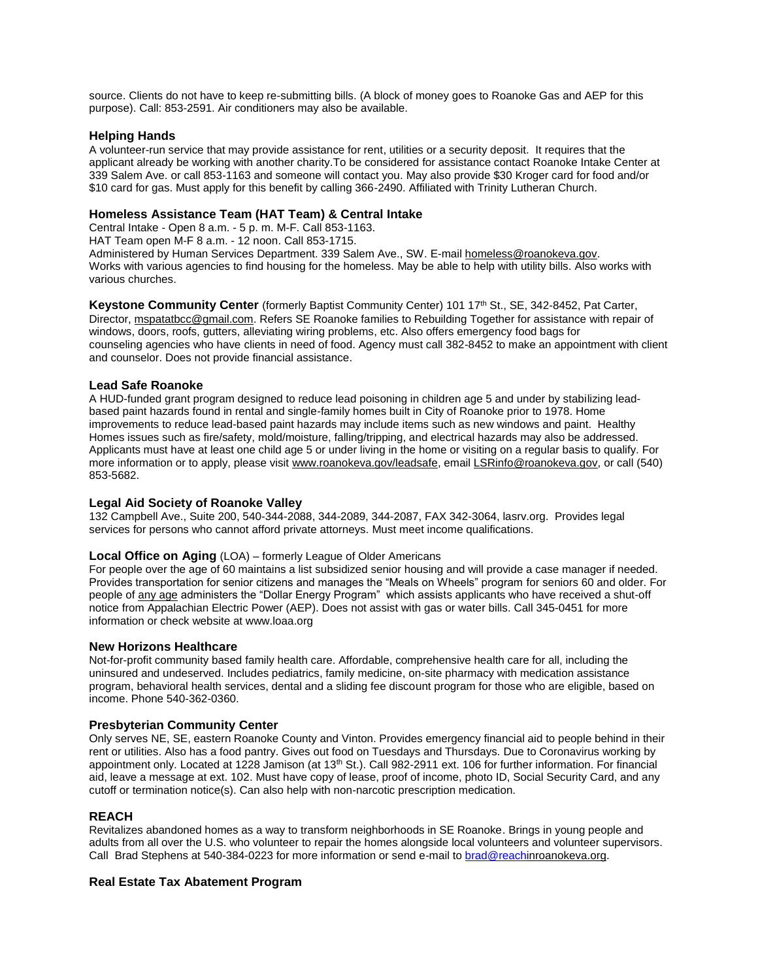source. Clients do not have to keep re-submitting bills. (A block of money goes to Roanoke Gas and AEP for this purpose). Call: 853-2591. Air conditioners may also be available.

## **Helping Hands**

A volunteer-run service that may provide assistance for rent, utilities or a security deposit. It requires that the applicant already be working with another charity.To be considered for assistance contact Roanoke Intake Center at 339 Salem Ave. or call 853-1163 and someone will contact you. May also provide \$30 Kroger card for food and/or \$10 card for gas. Must apply for this benefit by calling 366-2490. Affiliated with Trinity Lutheran Church.

# **Homeless Assistance Team (HAT Team) & Central Intake**

Central Intake - Open 8 a.m. - 5 p. m. M-F. Call 853-1163.

HAT Team open M-F 8 a.m. - 12 noon. Call 853-1715.

Administered by Human Services Department. 339 Salem Ave., SW. E-mai[l homeless@roanokeva.gov.](mailto:homeless@roanokeva.gov) Works with various agencies to find housing for the homeless. May be able to help with utility bills. Also works with various churches.

Keystone Community Center (formerly Baptist Community Center) 101 17<sup>th</sup> St., SE, 342-8452, Pat Carter, Director[, mspatatbcc@gmail.com.](mailto:mspatatbcc@gmail.com) Refers SE Roanoke families to Rebuilding Together for assistance with repair of windows, doors, roofs, gutters, alleviating wiring problems, etc. Also offers emergency food bags for counseling agencies who have clients in need of food. Agency must call 382-8452 to make an appointment with client and counselor. Does not provide financial assistance.

## **Lead Safe Roanoke**

A HUD-funded grant program designed to reduce lead poisoning in children age 5 and under by stabilizing leadbased paint hazards found in rental and single-family homes built in City of Roanoke prior to 1978. Home improvements to reduce lead-based paint hazards may include items such as new windows and paint. Healthy Homes issues such as fire/safety, mold/moisture, falling/tripping, and electrical hazards may also be addressed. Applicants must have at least one child age 5 or under living in the home or visiting on a regular basis to qualify. For more information or to apply, please visit [www.roanokeva.gov/leadsafe,](http://www.roanokeva.gov/leadsafe) emai[l LSRinfo@roanokeva.gov,](mailto:LSRinfo@roanokeva.gov) or call (540) 853-5682.

## **Legal Aid Society of Roanoke Valley**

132 Campbell Ave., Suite 200, 540-344-2088, 344-2089, 344-2087, FAX 342-3064, lasrv.org. Provides legal services for persons who cannot afford private attorneys. Must meet income qualifications.

## **Local Office on Aging** (LOA) – formerly League of Older Americans

For people over the age of 60 maintains a list subsidized senior housing and will provide a case manager if needed. Provides transportation for senior citizens and manages the "Meals on Wheels" program for seniors 60 and older. For people of any age administers the "Dollar Energy Program" which assists applicants who have received a shut-off notice from Appalachian Electric Power (AEP). Does not assist with gas or water bills. Call 345-0451 for more information or check website at www.loaa.org

## **New Horizons Healthcare**

Not-for-profit community based family health care. Affordable, comprehensive health care for all, including the uninsured and undeserved. Includes pediatrics, family medicine, on-site pharmacy with medication assistance program, behavioral health services, dental and a sliding fee discount program for those who are eligible, based on income. Phone 540-362-0360.

## **Presbyterian Community Center**

Only serves NE, SE, eastern Roanoke County and Vinton. Provides emergency financial aid to people behind in their rent or utilities. Also has a food pantry. Gives out food on Tuesdays and Thursdays. Due to Coronavirus working by appointment only. Located at 1228 Jamison (at 13<sup>th</sup> St.). Call 982-2911 ext. 106 for further information. For financial aid, leave a message at ext. 102. Must have copy of lease, proof of income, photo ID, Social Security Card, and any cutoff or termination notice(s). Can also help with non-narcotic prescription medication.

## **REACH**

Revitalizes abandoned homes as a way to transform neighborhoods in SE Roanoke. Brings in young people and adults from all over the U.S. who volunteer to repair the homes alongside local volunteers and volunteer supervisors. Call Brad Stephens at 540-384-0223 for more information or send e-mail t[o brad@reachin](mailto:brad@reach)roanokeva.org.

# **Real Estate Tax Abatement Program**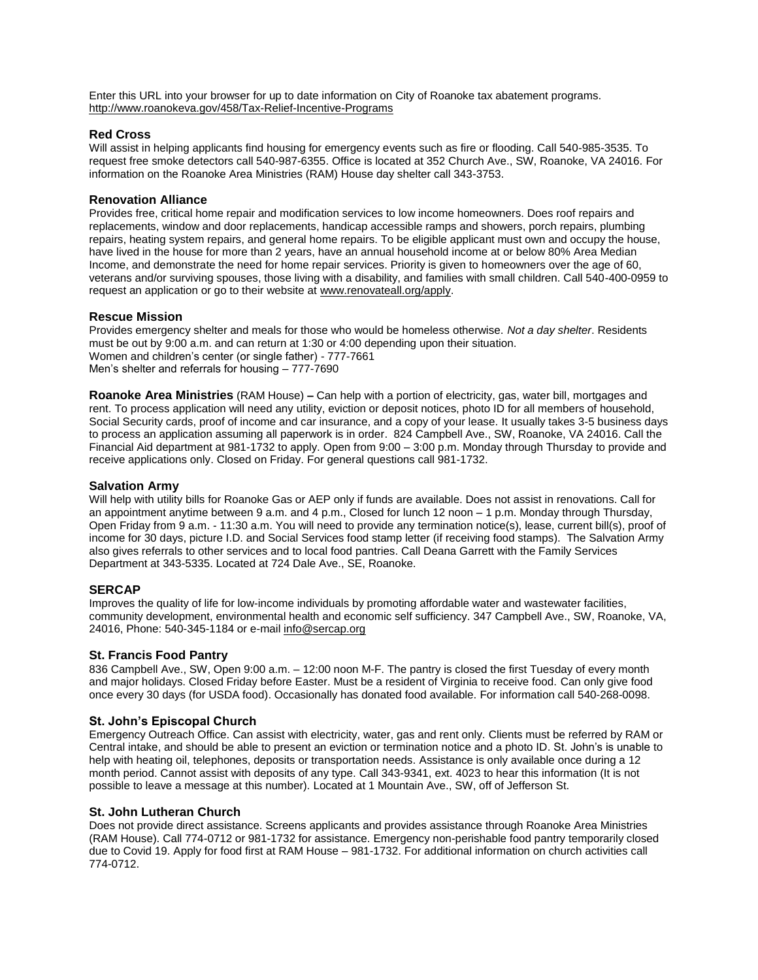Enter this URL into your browser for up to date information on City of Roanoke tax abatement programs. <http://www.roanokeva.gov/458/Tax-Relief-Incentive-Programs>

## **Red Cross**

Will assist in helping applicants find housing for emergency events such as fire or flooding. Call 540-985-3535. To request free smoke detectors call 540-987-6355. Office is located at 352 Church Ave., SW, Roanoke, VA 24016. For information on the Roanoke Area Ministries (RAM) House day shelter call 343-3753.

## **Renovation Alliance**

Provides free, critical home repair and modification services to low income homeowners. Does roof repairs and replacements, window and door replacements, handicap accessible ramps and showers, porch repairs, plumbing repairs, heating system repairs, and general home repairs. To be eligible applicant must own and occupy the house, have lived in the house for more than 2 years, have an annual household income at or below 80% Area Median Income, and demonstrate the need for home repair services. Priority is given to homeowners over the age of 60, veterans and/or surviving spouses, those living with a disability, and families with small children. Call 540-400-0959 to request an application or go to their website at [www.renovateall.org/apply.](http://www.renovateall.org/apply)

## **Rescue Mission**

Provides emergency shelter and meals for those who would be homeless otherwise. *Not a day shelter*. Residents must be out by 9:00 a.m. and can return at 1:30 or 4:00 depending upon their situation. Women and children's center (or single father) - 777-7661 Men's shelter and referrals for housing – 777-7690

**Roanoke Area Ministries** (RAM House) **–** Can help with a portion of electricity, gas, water bill, mortgages and rent. To process application will need any utility, eviction or deposit notices, photo ID for all members of household, Social Security cards, proof of income and car insurance, and a copy of your lease. It usually takes 3-5 business days to process an application assuming all paperwork is in order. 824 Campbell Ave., SW, Roanoke, VA 24016. Call the Financial Aid department at 981-1732 to apply. Open from 9:00 – 3:00 p.m. Monday through Thursday to provide and receive applications only. Closed on Friday. For general questions call 981-1732.

## **Salvation Army**

Will help with utility bills for Roanoke Gas or AEP only if funds are available. Does not assist in renovations. Call for an appointment anytime between 9 a.m. and 4 p.m., Closed for lunch 12 noon – 1 p.m. Monday through Thursday, Open Friday from 9 a.m. - 11:30 a.m. You will need to provide any termination notice(s), lease, current bill(s), proof of income for 30 days, picture I.D. and Social Services food stamp letter (if receiving food stamps). The Salvation Army also gives referrals to other services and to local food pantries. Call Deana Garrett with the Family Services Department at 343-5335. Located at 724 Dale Ave., SE, Roanoke.

# **SERCAP**

Improves the quality of life for low-income individuals by promoting affordable water and wastewater facilities, community development, environmental health and economic self sufficiency. 347 Campbell Ave., SW, Roanoke, VA, 24016, Phone: 540-345-1184 or e-mail [info@sercap.org](mailto:info@sercap.org)

## **St. Francis Food Pantry**

836 Campbell Ave., SW, Open 9:00 a.m. – 12:00 noon M-F. The pantry is closed the first Tuesday of every month and major holidays. Closed Friday before Easter. Must be a resident of Virginia to receive food. Can only give food once every 30 days (for USDA food). Occasionally has donated food available. For information call 540-268-0098.

# **St. John's Episcopal Church**

Emergency Outreach Office. Can assist with electricity, water, gas and rent only. Clients must be referred by RAM or Central intake, and should be able to present an eviction or termination notice and a photo ID. St. John's is unable to help with heating oil, telephones, deposits or transportation needs. Assistance is only available once during a 12 month period. Cannot assist with deposits of any type. Call 343-9341, ext. 4023 to hear this information (It is not possible to leave a message at this number). Located at 1 Mountain Ave., SW, off of Jefferson St.

## **St. John Lutheran Church**

Does not provide direct assistance. Screens applicants and provides assistance through Roanoke Area Ministries (RAM House). Call 774-0712 or 981-1732 for assistance. Emergency non-perishable food pantry temporarily closed due to Covid 19. Apply for food first at RAM House – 981-1732. For additional information on church activities call 774-0712.